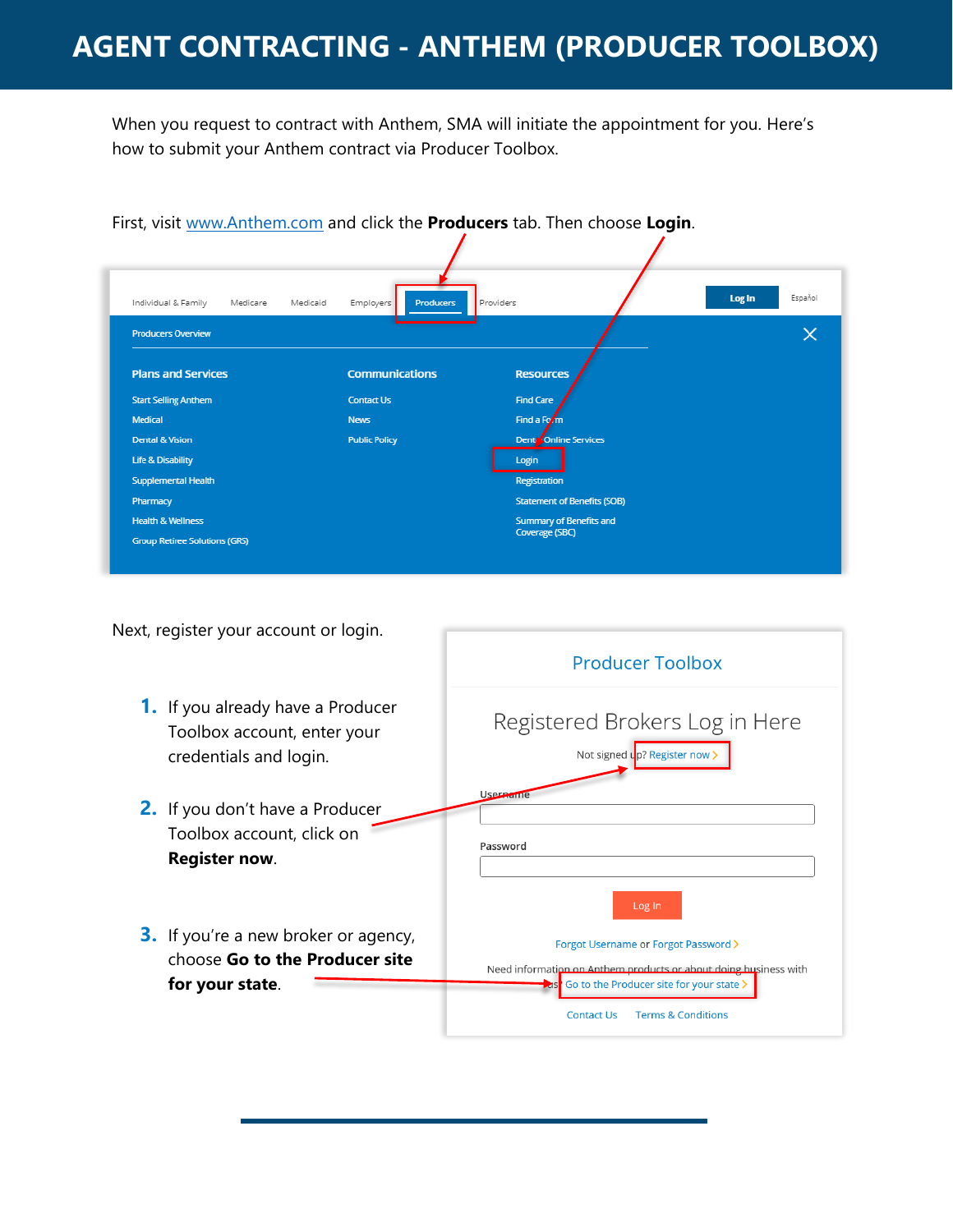When you request to contract with Anthem, SMA will initiate the appointment for you. Here's how to submit your Anthem contract via Producer Toolbox.

|                                             |                               | First, visit www.Anthem.com and click the <b>Producers</b> tab. Then choose Login. |                   |
|---------------------------------------------|-------------------------------|------------------------------------------------------------------------------------|-------------------|
|                                             |                               |                                                                                    |                   |
| Individual & Family<br>Medicare<br>Medicaid | <b>Producers</b><br>Employers | Providers                                                                          | Log In<br>Español |
| <b>Producers Overview</b>                   |                               |                                                                                    |                   |
| <b>Plans and Services</b>                   | <b>Communications</b>         | <b>Resources</b>                                                                   |                   |
| <b>Start Selling Anthem</b>                 | <b>Contact Us</b>             | <b>Find Care</b>                                                                   |                   |
| Medical                                     | <b>News</b>                   | Find a Fo/m                                                                        |                   |
| <b>Dental &amp; Vision</b>                  | <b>Public Policy</b>          | Dent <sup>y</sup> Online Services                                                  |                   |
| <b>Life &amp; Disability</b>                |                               | Login                                                                              |                   |
| <b>Supplemental Health</b>                  |                               | Registration                                                                       |                   |
| Pharmacy                                    |                               | <b>Statement of Benefits (SOB)</b>                                                 |                   |
| <b>Health &amp; Wellness</b>                |                               | Summary of Benefits and                                                            |                   |
|                                             |                               | Coverage (SBC)                                                                     |                   |

Next, register your account or login.

- **1.** If you already have a Producer Toolbox account, enter your credentials and login.
- **2.** If you don't have a Producer Toolbox account, click on **Register now**.
- **3.** If you're a new broker or agency, choose **Go to the Producer site for your state**.

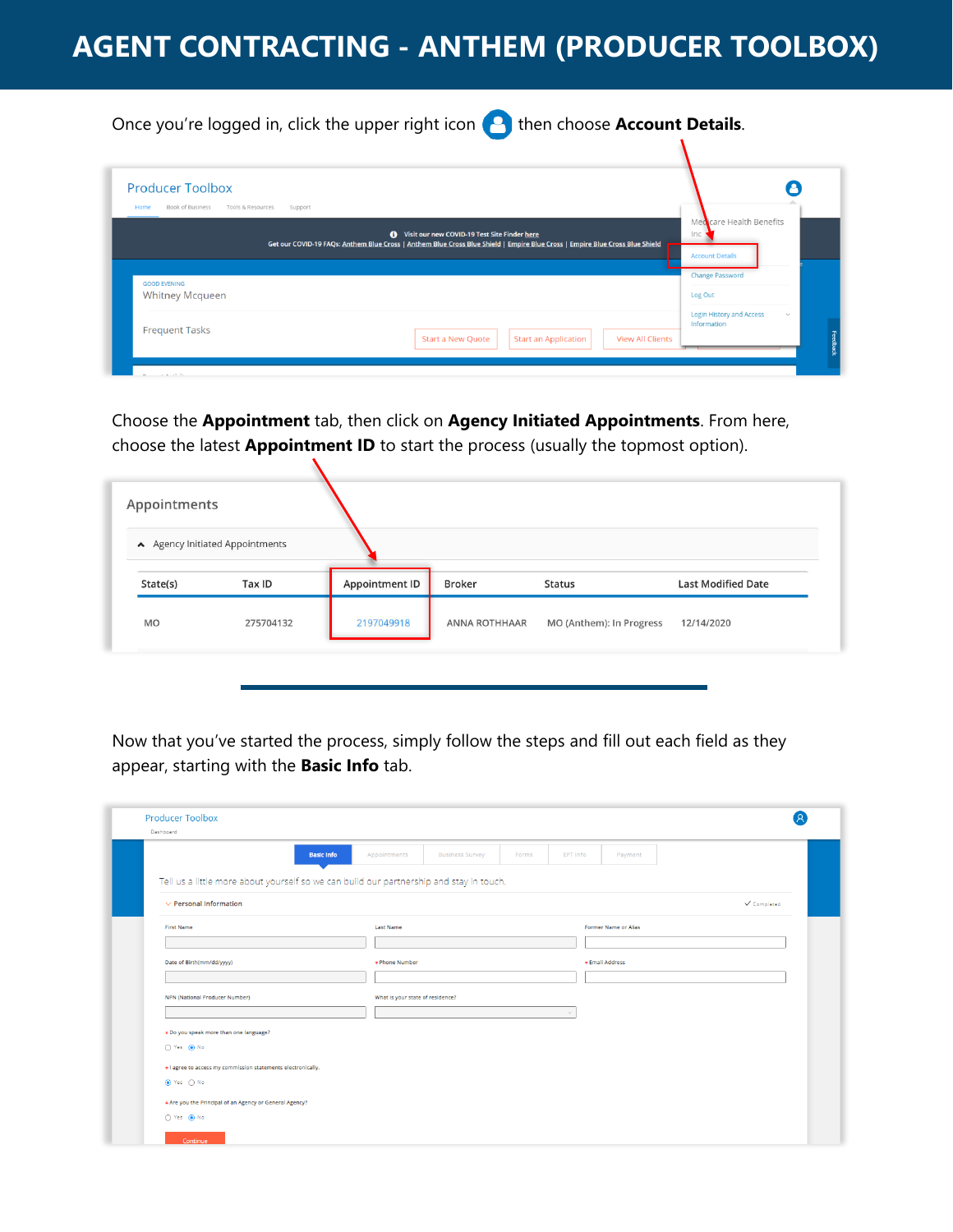## **AGENT CONTRACTING - ANTHEM (PRODUCER TOOLBOX)**

Once you're logged in, click the upper right icon **the station account Details**.

| <b>Producer Toolbox</b><br>Book of Business<br>Tools & Resources<br>Home<br>Support |                                                                                                                                                                                       |                                                                 |
|-------------------------------------------------------------------------------------|---------------------------------------------------------------------------------------------------------------------------------------------------------------------------------------|-----------------------------------------------------------------|
|                                                                                     | <b>O</b> Visit our new COVID-19 Test Site Finder here<br>Get our COVID-19 FAQs: Anthem Blue Cross   Anthem Blue Cross Blue Shield   Empire Blue Cross   Empire Blue Cross Blue Shield | Medicare Health Benefits<br>Inc<br><b>Account Details</b>       |
| <b>GOOD EVENING</b><br><b>Whitney Mcqueen</b>                                       |                                                                                                                                                                                       | <b>Change Password</b><br>Log Out                               |
| <b>Frequent Tasks</b>                                                               | <b>Start an Application</b><br><b>View All Clients</b><br><b>Start a New Quote</b>                                                                                                    | <b>Login History and Access</b><br>$\mathcal{A}$<br>Information |

Choose the **Appointment** tab, then click on **Agency Initiated Appointments**. From here, choose the latest **Appointment ID** to start the process (usually the topmost option).

N

| Appointments | A Agency Initiated Appointments |                       |               |                          |                           |
|--------------|---------------------------------|-----------------------|---------------|--------------------------|---------------------------|
| State(s)     | Tax ID                          | <b>Appointment ID</b> | Broker        | <b>Status</b>            | <b>Last Modified Date</b> |
| <b>MO</b>    | 275704132                       | 2197049918            | ANNA ROTHHAAR | MO (Anthem): In Progress | 12/14/2020                |

Now that you've started the process, simply follow the steps and fill out each field as they appear, starting with the **Basic Info** tab.

| <b>Basic Info</b>                                                                       | Appointments                     | <b>Business Survey</b> | Forms | EFT Info | Payment              |             |
|-----------------------------------------------------------------------------------------|----------------------------------|------------------------|-------|----------|----------------------|-------------|
| Tell us a little more about yourself so we can build our partnership and stay in touch. |                                  |                        |       |          |                      |             |
| $\vee$ Personal Information                                                             |                                  |                        |       |          |                      | V Completed |
| <b>First Name</b>                                                                       | <b>Last Name</b>                 |                        |       |          | Former Name or Alias |             |
|                                                                                         |                                  |                        |       |          |                      |             |
| Date of Birth(mm/dd/yyyy)                                                               | * Phone Number                   |                        |       |          | * Email Address      |             |
|                                                                                         |                                  |                        |       |          |                      |             |
| NPN (National Producer Number)                                                          | What is your state of residence? |                        |       |          |                      |             |
|                                                                                         |                                  |                        |       |          |                      |             |
| * Do you speak more than one language?                                                  |                                  |                        |       |          |                      |             |
| ○ Yes ● No                                                                              |                                  |                        |       |          |                      |             |
| * I agree to access my commission statements electronically.                            |                                  |                        |       |          |                      |             |
| ● Yes ○ No                                                                              |                                  |                        |       |          |                      |             |
|                                                                                         |                                  |                        |       |          |                      |             |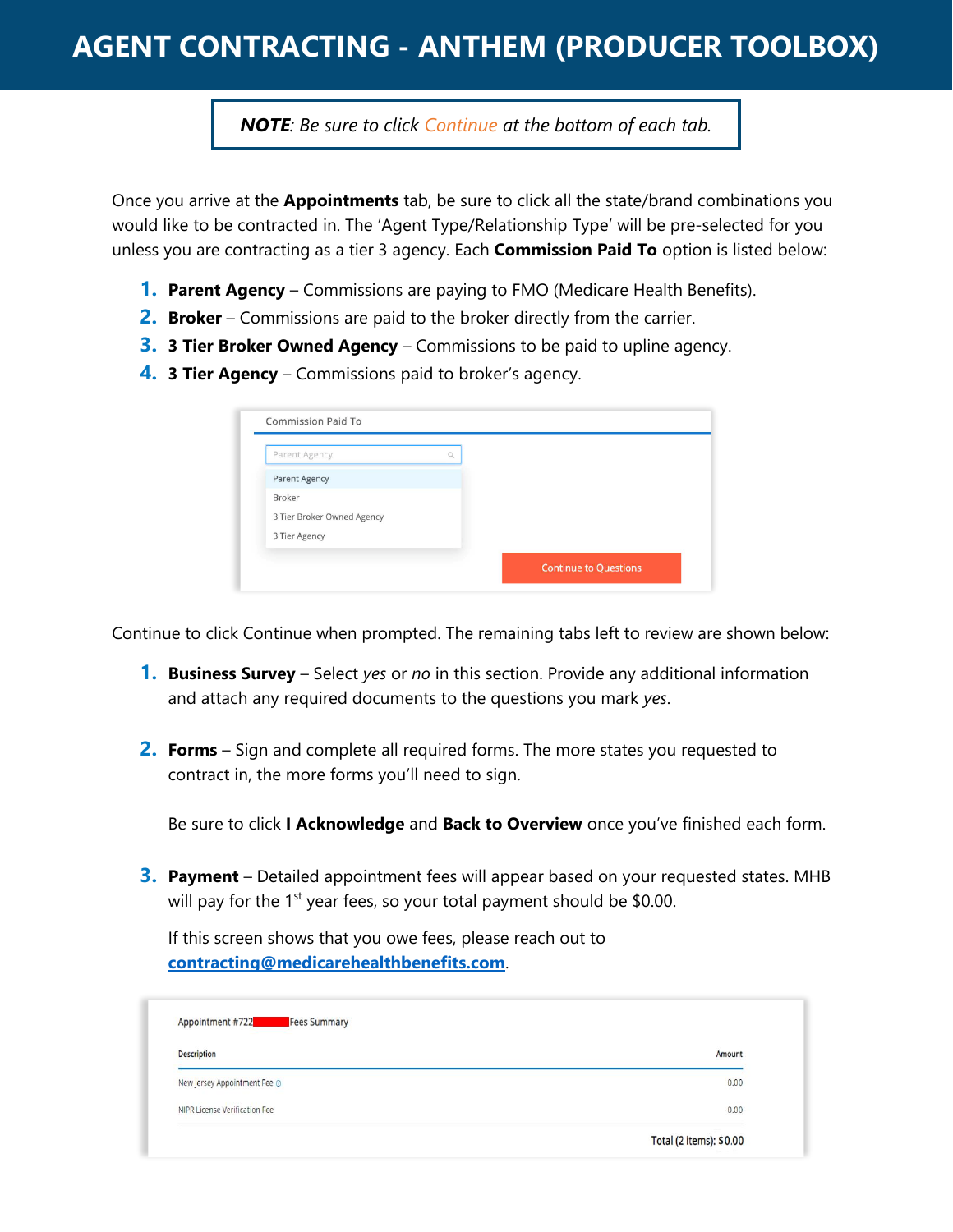## **AGENT CONTRACTING - ANTHEM (PRODUCER TOOLBOX)**

*NOTE: Be sure to click Continue at the bottom of each tab.*

Once you arrive at the **Appointments** tab, be sure to click all the state/brand combinations you would like to be contracted in. The 'Agent Type/Relationship Type' will be pre-selected for you unless you are contracting as a tier 3 agency. Each **Commission Paid To** option is listed below:

- **1. Parent Agency** Commissions are paying to FMO (Medicare Health Benefits).
- **2. Broker** Commissions are paid to the broker directly from the carrier.
- **3. 3 Tier Broker Owned Agency** Commissions to be paid to upline agency.
- **4. 3 Tier Agency** Commissions paid to broker's agency.

| Parent Agency              |  |  |  |
|----------------------------|--|--|--|
| Parent Agency              |  |  |  |
| Broker                     |  |  |  |
| 3 Tier Broker Owned Agency |  |  |  |
| 3 Tier Agency              |  |  |  |

Continue to click Continue when prompted. The remaining tabs left to review are shown below:

- **1. Business Survey** Select *yes* or *no* in this section. Provide any additional information and attach any required documents to the questions you mark *yes*.
- **2. Forms** Sign and complete all required forms. The more states you requested to contract in, the more forms you'll need to sign.

Be sure to click **I Acknowledge** and **Back to Overview** once you've finished each form.

**3. Payment** – Detailed appointment fees will appear based on your requested states. MHB will pay for the  $1<sup>st</sup>$  year fees, so your total payment should be \$0.00.

If this screen shows that you owe fees, please reach out to **[contracting@medicarehealthbenefits.com](mailto:contracting@medicarehealthbenefits.com)**.

| Description                   | Amount |
|-------------------------------|--------|
| New Jersey Appointment Fee O  | 0.00   |
| NIPR License Verification Fee | 0.00   |